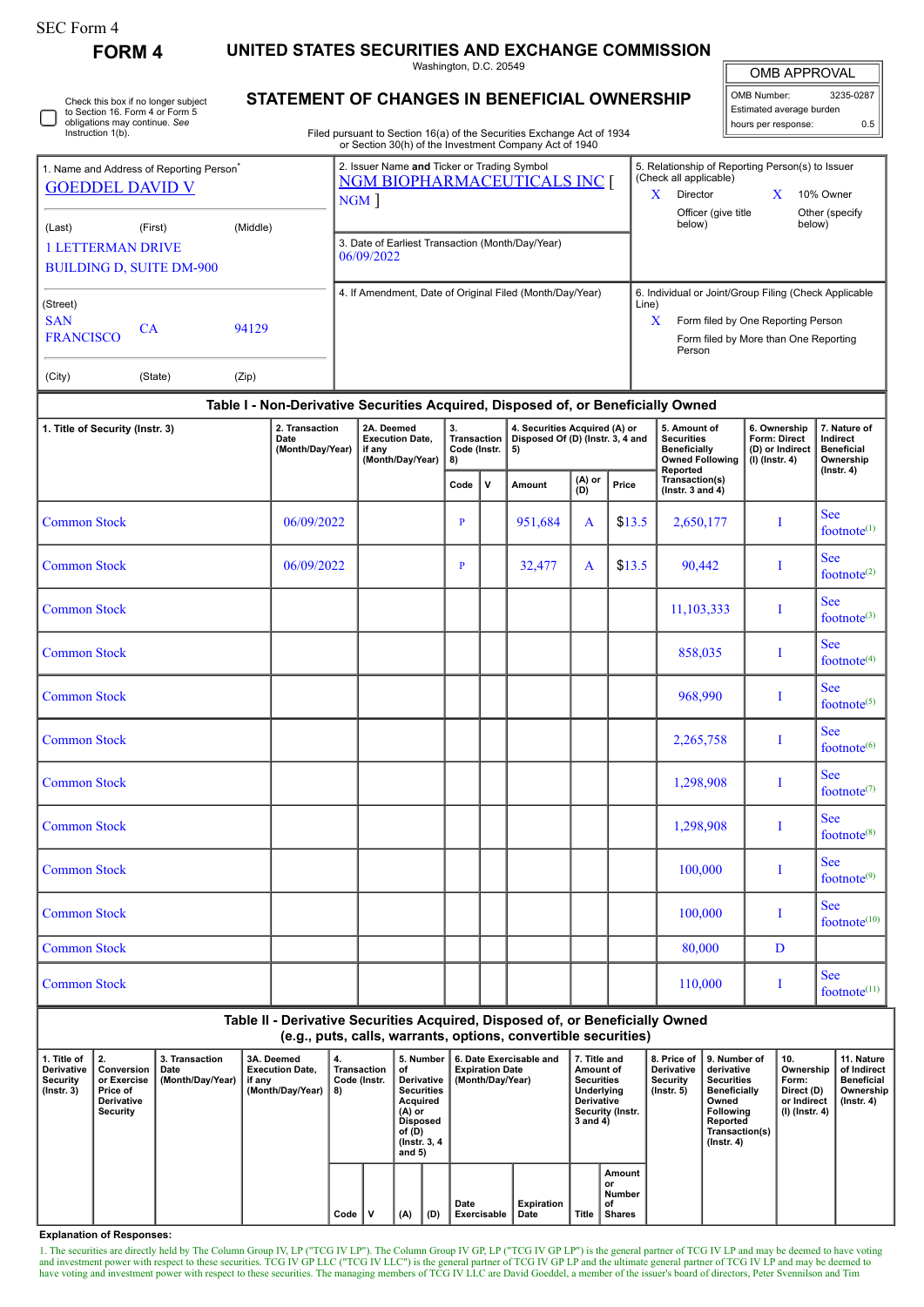| <b>SEC Form 4</b>                                                                                                            |            |                                                                                         |                                                                                                                                                                                  |                                                                                    |                                                                                                                                      |                                    |                                                                                                                 |                          |        |                                                                                                |                                                                          |                                                                          |
|------------------------------------------------------------------------------------------------------------------------------|------------|-----------------------------------------------------------------------------------------|----------------------------------------------------------------------------------------------------------------------------------------------------------------------------------|------------------------------------------------------------------------------------|--------------------------------------------------------------------------------------------------------------------------------------|------------------------------------|-----------------------------------------------------------------------------------------------------------------|--------------------------|--------|------------------------------------------------------------------------------------------------|--------------------------------------------------------------------------|--------------------------------------------------------------------------|
| <b>FORM4</b>                                                                                                                 |            |                                                                                         |                                                                                                                                                                                  | UNITED STATES SECURITIES AND EXCHANGE COMMISSION                                   | Washington, D.C. 20549                                                                                                               |                                    |                                                                                                                 |                          |        |                                                                                                | <b>OMB APPROVAL</b>                                                      |                                                                          |
| Check this box if no longer subject<br>to Section 16. Form 4 or Form 5<br>obligations may continue. See<br>Instruction 1(b). |            |                                                                                         | STATEMENT OF CHANGES IN BENEFICIAL OWNERSHIP<br>Filed pursuant to Section 16(a) of the Securities Exchange Act of 1934<br>or Section 30(h) of the Investment Company Act of 1940 | 3235-0287<br>OMB Number:<br>Estimated average burden<br>hours per response:<br>0.5 |                                                                                                                                      |                                    |                                                                                                                 |                          |        |                                                                                                |                                                                          |                                                                          |
| 1. Name and Address of Reporting Person <sup>®</sup><br><b>GOEDDEL DAVID V</b>                                               |            | 2. Issuer Name and Ticker or Trading Symbol<br><b>NGM BIOPHARMACEUTICALS INC</b><br>NGM |                                                                                                                                                                                  |                                                                                    |                                                                                                                                      |                                    | 5. Relationship of Reporting Person(s) to Issuer<br>(Check all applicable)<br>Director<br>10% Owner<br>X.<br>X. |                          |        |                                                                                                |                                                                          |                                                                          |
| (Middle)<br>(Last)<br>(First)<br><b>1 LETTERMAN DRIVE</b><br><b>BUILDING D, SUITE DM-900</b>                                 |            |                                                                                         |                                                                                                                                                                                  | 3. Date of Earliest Transaction (Month/Day/Year)<br>06/09/2022                     |                                                                                                                                      | Officer (give title<br>below)      |                                                                                                                 | Other (specify<br>below) |        |                                                                                                |                                                                          |                                                                          |
| (Street)<br><b>SAN</b><br>CA<br>94129<br><b>FRANCISCO</b><br>(City)<br>(State)<br>(Zip)                                      |            |                                                                                         |                                                                                                                                                                                  | 4. If Amendment, Date of Original Filed (Month/Day/Year)                           | 6. Individual or Joint/Group Filing (Check Applicable<br>Form filed by One Reporting Person<br>Form filed by More than One Reporting |                                    |                                                                                                                 |                          |        |                                                                                                |                                                                          |                                                                          |
|                                                                                                                              |            |                                                                                         |                                                                                                                                                                                  | Table I - Non-Derivative Securities Acquired, Disposed of, or Beneficially Owned   |                                                                                                                                      |                                    |                                                                                                                 |                          |        |                                                                                                |                                                                          |                                                                          |
| 1. Title of Security (Instr. 3)                                                                                              |            | 2. Transaction<br>Date<br>(Month/Day/Year)                                              |                                                                                                                                                                                  | 2A. Deemed<br><b>Execution Date,</b><br>if any<br>(Month/Day/Year)                 |                                                                                                                                      | <b>Transaction</b><br>Code (Instr. | 4. Securities Acquired (A) or<br>Disposed Of (D) (Instr. 3, 4 and<br>5)                                         |                          |        | 5. Amount of<br><b>Securities</b><br><b>Beneficially</b><br><b>Owned Following</b><br>Reported | 6. Ownership<br><b>Form: Direct</b><br>(D) or Indirect<br>(I) (Instr. 4) | 7. Nature of<br>Indirect<br><b>Beneficial</b><br>Ownership<br>(Instr. 4) |
|                                                                                                                              |            |                                                                                         |                                                                                                                                                                                  |                                                                                    | Code                                                                                                                                 | v                                  | Amount                                                                                                          | (A) or<br>(D)            | Price  | Transaction(s)<br>(lnstr. $3$ and $4$ )                                                        |                                                                          |                                                                          |
| <b>Common Stock</b>                                                                                                          |            | 06/09/2022                                                                              |                                                                                                                                                                                  |                                                                                    | P                                                                                                                                    |                                    | 951,684                                                                                                         | A                        | \$13.5 | 2,650,177                                                                                      | I                                                                        | <b>See</b><br>footnote $(1)$                                             |
| <b>Common Stock</b>                                                                                                          | 06/09/2022 |                                                                                         |                                                                                                                                                                                  |                                                                                    | P                                                                                                                                    |                                    | 32,477                                                                                                          | A                        | \$13.5 | 90,442                                                                                         | 1                                                                        | <b>See</b><br>footnote $(2)$                                             |
| <b>Common Stock</b>                                                                                                          |            |                                                                                         |                                                                                                                                                                                  |                                                                                    |                                                                                                                                      |                                    |                                                                                                                 |                          |        | 11,103,333                                                                                     | 1                                                                        | <b>See</b><br>footnote $(3)$                                             |
| <b>Common Stock</b>                                                                                                          |            |                                                                                         |                                                                                                                                                                                  |                                                                                    |                                                                                                                                      |                                    |                                                                                                                 |                          |        | 858,035                                                                                        | I                                                                        | <b>See</b><br>footnote <sup>(4)</sup>                                    |
| <b>Common Stock</b>                                                                                                          |            |                                                                                         |                                                                                                                                                                                  |                                                                                    |                                                                                                                                      |                                    |                                                                                                                 |                          |        | 968,990                                                                                        | T                                                                        | <b>See</b><br>footnote <sup>(5)</sup>                                    |
| <b>Common Stock</b>                                                                                                          |            |                                                                                         |                                                                                                                                                                                  |                                                                                    |                                                                                                                                      |                                    |                                                                                                                 |                          |        | 2,265,758                                                                                      | 1                                                                        | <b>See</b><br>footnote <sup>(6)</sup>                                    |
| <b>Common Stock</b>                                                                                                          |            |                                                                                         |                                                                                                                                                                                  |                                                                                    |                                                                                                                                      |                                    |                                                                                                                 |                          |        | 1,298,908                                                                                      | 1                                                                        | <b>See</b><br>footnote $(7)$                                             |
| <b>Common Stock</b>                                                                                                          |            |                                                                                         |                                                                                                                                                                                  |                                                                                    |                                                                                                                                      |                                    |                                                                                                                 |                          |        | 1,298,908                                                                                      | I                                                                        | <b>See</b><br>footnote <sup>(8)</sup>                                    |
| <b>Common Stock</b>                                                                                                          |            |                                                                                         |                                                                                                                                                                                  |                                                                                    |                                                                                                                                      |                                    |                                                                                                                 |                          |        | 100,000                                                                                        | 1                                                                        | <b>See</b><br>footnote <sup>(9)</sup>                                    |
| <b>Common Stock</b>                                                                                                          |            |                                                                                         |                                                                                                                                                                                  |                                                                                    |                                                                                                                                      |                                    |                                                                                                                 |                          |        | 100,000                                                                                        | 1                                                                        | <b>See</b><br>footnot $e^{(10)}$                                         |
| <b>Common Stock</b>                                                                                                          |            |                                                                                         |                                                                                                                                                                                  |                                                                                    |                                                                                                                                      |                                    |                                                                                                                 |                          |        | 80,000                                                                                         | D                                                                        |                                                                          |
| <b>Common Stock</b>                                                                                                          |            |                                                                                         |                                                                                                                                                                                  |                                                                                    |                                                                                                                                      |                                    |                                                                                                                 |                          |        | 110,000                                                                                        | I                                                                        | <b>See</b><br>footnote <sup>(11)</sup>                                   |
|                                                                                                                              |            |                                                                                         |                                                                                                                                                                                  |                                                                                    |                                                                                                                                      |                                    |                                                                                                                 |                          |        |                                                                                                |                                                                          |                                                                          |

## **Table II - Derivative Securities Acquired, Disposed of, or Beneficially Owned (e.g., puts, calls, warrants, options, convertible securities)**

| 1. Title of<br><b>Derivative</b><br>Security<br>$($ lnstr. 3 $)$ |  | $\parallel$ 2.<br>Conversion<br>or Exercise<br>Price of<br>Derivative<br>Security | 3. Transaction<br>Date<br>(Month/Day/Year) | 3A. Deemed<br><b>Execution Date.</b><br>if anv<br>(Month/Day/Year) | 4.<br>Transaction<br>Code (Instr.<br>8) |  | _5. Number ∤<br>οf<br>Derivative<br><b>Securities</b><br>Acauired<br>(A) or<br><b>Disposed</b><br>of (D)<br>(Instr. 3, 4)<br>and $5)$ |     | 6. Date Exercisable and<br><b>Expiration Date</b><br>(Month/Day/Year) |                    | 7. Title and<br>Amount of<br><b>Securities</b><br>Underlying<br><b>Derivative</b><br><b>Security (Instr.</b><br>3 and 4) |                                               | <b>Derivative</b><br>Security<br>$($ lnstr. 5 $)$ | 8. Price of 19. Number of<br>derivative<br>Securities<br><b>Beneficially</b><br>Owned<br><b>Following</b><br>Reported<br>Transaction(s)<br>$($ lnstr. 4 $)$ | $^{\circ}$ 10.<br>Ownership<br>Form:<br>Direct (D)<br>or Indirect<br>(I) (Instr. 4) | 11. Nature<br>of Indirect<br>Beneficial<br>Ownership<br>(Instr. 4) |
|------------------------------------------------------------------|--|-----------------------------------------------------------------------------------|--------------------------------------------|--------------------------------------------------------------------|-----------------------------------------|--|---------------------------------------------------------------------------------------------------------------------------------------|-----|-----------------------------------------------------------------------|--------------------|--------------------------------------------------------------------------------------------------------------------------|-----------------------------------------------|---------------------------------------------------|-------------------------------------------------------------------------------------------------------------------------------------------------------------|-------------------------------------------------------------------------------------|--------------------------------------------------------------------|
|                                                                  |  |                                                                                   |                                            |                                                                    | Code                                    |  | (A)                                                                                                                                   | (D) | Date<br>Exercisable                                                   | Expiration<br>Date | Title                                                                                                                    | Amount<br>or<br>Number<br>οf<br><b>Shares</b> |                                                   |                                                                                                                                                             |                                                                                     |                                                                    |

**Explanation of Responses:**

1. The securities are directly held by The Column Group IV, LP ("TCG IV LP"). The Column Group IV GP, LP ("TCG IV GP LP") is the general partner of TCG IV LP and may be deemed to have voting and investment power with respe